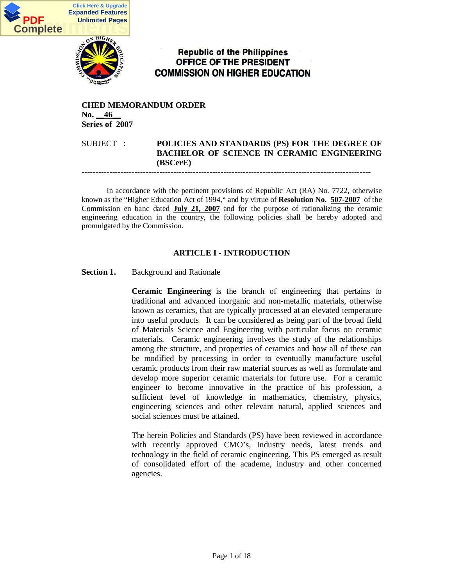

# **Republic of the Philippines** OFFICE OF THE PRESIDENT **COMMISSION ON HIGHER EDUCATION**

### **CHED MEMORANDUM ORDER No.** 46 **Series of 2007**

### SUBJECT : **POLICIES AND STANDARDS (PS) FOR THE DEGREE OF BACHELOR OF SCIENCE IN CERAMIC ENGINEERING (BSCerE)**

--------------------------------------------------------------------------------------------------------

In accordance with the pertinent provisions of Republic Act (RA) No. 7722, otherwise known as the "Higher Education Act of 1994," and by virtue of **Resolution No. 507-2007** of the Commission en banc dated **July 21, 2007** and for the purpose of rationalizing the ceramic engineering education in the country, the following policies shall be hereby adopted and promulgated by the Commission.

### **ARTICLE I - INTRODUCTION**

### **Section 1.** Background and Rationale

**Ceramic Engineering** is the branch of engineering that pertains to traditional and advanced inorganic and non-metallic materials, otherwise known as ceramics, that are typically processed at an elevated temperature into useful products. It can be considered as being part of the broad field of Materials Science and Engineering with particular focus on ceramic materials. Ceramic engineering involves the study of the relationships among the structure, and properties of ceramics and how all of these can be modified by processing in order to eventually manufacture useful ceramic products from their raw material sources as well as formulate and develop more superior ceramic materials for future use. For a ceramic engineer to become innovative in the practice of his profession, a sufficient level of knowledge in mathematics, chemistry, physics, engineering sciences and other relevant natural, applied sciences and social sciences must be attained.

The herein Policies and Standards (PS) have been reviewed in accordance with recently approved CMO's, industry needs, latest trends and technology in the field of ceramic engineering. This PS emerged as result of consolidated effort of the academe, industry and other concerned agencies.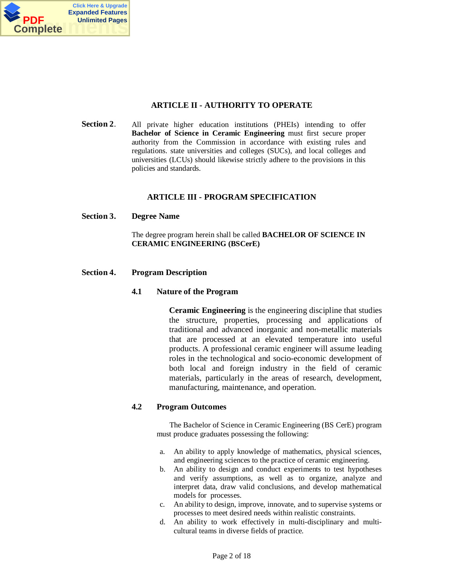

### **ARTICLE II - AUTHORITY TO OPERATE**

**Section 2.** All private higher education institutions (PHEIs) intending to offer **Bachelor of Science in Ceramic Engineering** must first secure proper authority from the Commission in accordance with existing rules and regulations. state universities and colleges (SUCs), and local colleges and universities (LCUs) should likewise strictly adhere to the provisions in this policies and standards.

### **ARTICLE III - PROGRAM SPECIFICATION**

#### **Section 3. Degree Name**

The degree program herein shall be called **BACHELOR OF SCIENCE IN CERAMIC ENGINEERING (BSCerE)**

#### **Section 4. Program Description**

#### **4.1 Nature of the Program**

**Ceramic Engineering** is the engineering discipline that studies the structure, properties, processing and applications of traditional and advanced inorganic and non-metallic materials that are processed at an elevated temperature into useful products. A professional ceramic engineer will assume leading roles in the technological and socio-economic development of both local and foreign industry in the field of ceramic materials, particularly in the areas of research, development, manufacturing, maintenance, and operation.

### **4.2 Program Outcomes**

The Bachelor of Science in Ceramic Engineering (BS CerE) program must produce graduates possessing the following:

- a. An ability to apply knowledge of mathematics, physical sciences, and engineering sciences to the practice of ceramic engineering.
- b. An ability to design and conduct experiments to test hypotheses and verify assumptions, as well as to organize, analyze and interpret data, draw valid conclusions, and develop mathematical models for processes.
- c. An ability to design, improve, innovate, and to supervise systems or processes to meet desired needs within realistic constraints.
- d. An ability to work effectively in multi-disciplinary and multicultural teams in diverse fields of practice.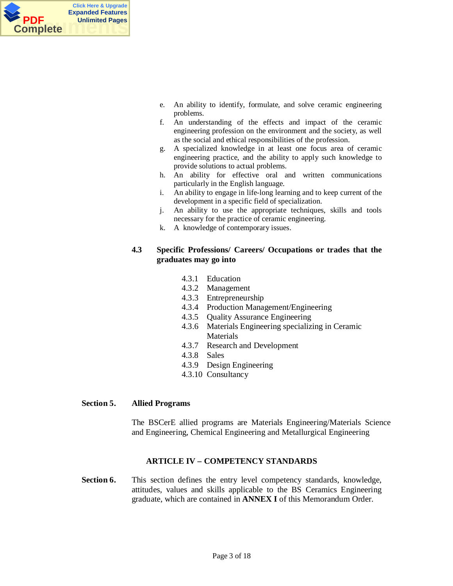

- e. An ability to identify, formulate, and solve ceramic engineering problems.
- f. An understanding of the effects and impact of the ceramic engineering profession on the environment and the society, as well as the social and ethical responsibilities of the profession.
- g. A specialized knowledge in at least one focus area of ceramic engineering practice, and the ability to apply such knowledge to provide solutions to actual problems.
- h. An ability for effective oral and written communications particularly in the English language.
- i. An ability to engage in life-long learning and to keep current of the development in a specific field of specialization.
- j. An ability to use the appropriate techniques, skills and tools necessary for the practice of ceramic engineering.
- k. A knowledge of contemporary issues.

### **4.3 Specific Professions/ Careers/ Occupations or trades that the graduates may go into**

- 4.3.1 Education
- 4.3.2 Management
- 4.3.3 Entrepreneurship
- 4.3.4 Production Management/Engineering
- 4.3.5 Quality Assurance Engineering
- 4.3.6 Materials Engineering specializing in Ceramic Materials
- 4.3.7 Research and Development
- 4.3.8 Sales
- 4.3.9 Design Engineering
- 4.3.10 Consultancy

#### **Section 5. Allied Programs**

The BSCerE allied programs are Materials Engineering/Materials Science and Engineering, Chemical Engineering and Metallurgical Engineering

### **ARTICLE IV – COMPETENCY STANDARDS**

**Section 6.** This section defines the entry level competency standards, knowledge, attitudes, values and skills applicable to the BS Ceramics Engineering graduate, which are contained in **ANNEX I** of this Memorandum Order.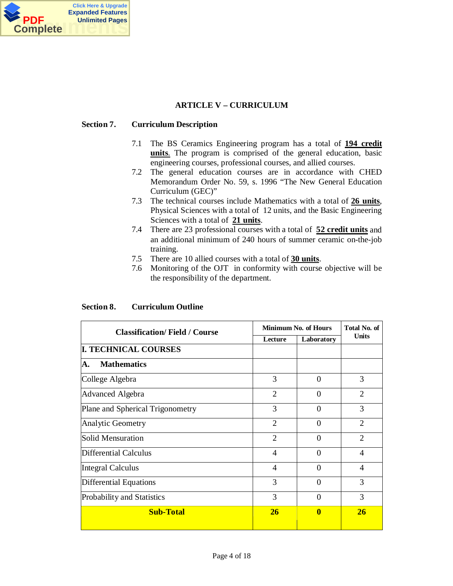

### **ARTICLE V – CURRICULUM**

### **Section 7. Curriculum Description**

- 7.1 The BS Ceramics Engineering program has a total of **194 credit units**. The program is comprised of the general education, basic engineering courses, professional courses, and allied courses.
- 7.2 The general education courses are in accordance with CHED Memorandum Order No. 59, s. 1996 "The New General Education Curriculum (GEC)"
- 7.3 The technical courses include Mathematics with a total of **26 units**, Physical Sciences with a total of 12 units, and the Basic Engineering Sciences with a total of **21 units**.
- 7.4 There are 23 professional courses with a total of **52 credit units** and an additional minimum of 240 hours of summer ceramic on-the-job training.
- 7.5 There are 10 allied courses with a total of **30 units**.
- 7.6 Monitoring of the OJT in conformity with course objective will be the responsibility of the department.

#### **Section 8. Curriculum Outline**

| <b>Classification/Field / Course</b> |                          | <b>Minimum No. of Hours</b> | Total No. of   |
|--------------------------------------|--------------------------|-----------------------------|----------------|
|                                      | Lecture                  | Laboratory                  | <b>Units</b>   |
| <b>I. TECHNICAL COURSES</b>          |                          |                             |                |
| <b>Mathematics</b><br>А.             |                          |                             |                |
| College Algebra                      | 3                        | $\Omega$                    | 3              |
| <b>Advanced Algebra</b>              | $\overline{2}$           | $\Omega$                    | $\overline{2}$ |
| Plane and Spherical Trigonometry     | 3                        | $\Omega$                    | 3              |
| <b>Analytic Geometry</b>             | $\overline{2}$           | $\Omega$                    | $\overline{2}$ |
| Solid Mensuration                    | $\overline{2}$           | $\Omega$                    | $\overline{2}$ |
| <b>Differential Calculus</b>         | $\overline{\mathcal{A}}$ | $\Omega$                    | 4              |
| <b>Integral Calculus</b>             | $\overline{4}$           | $\Omega$                    | 4              |
| <b>Differential Equations</b>        | 3                        | $\Omega$                    | 3              |
| Probability and Statistics           | 3                        | $\Omega$                    | 3              |
| <b>Sub-Total</b>                     | <b>26</b>                | $\bf{0}$                    | 26             |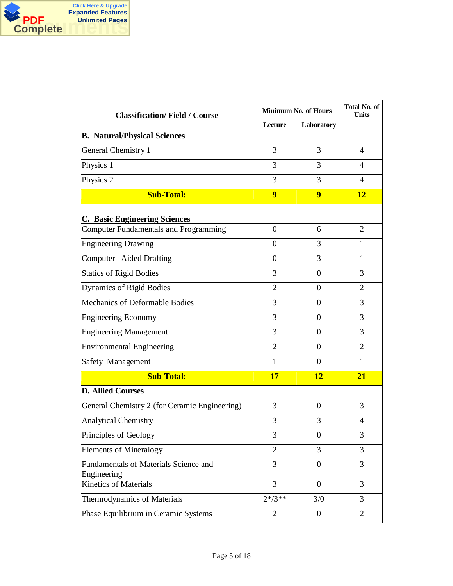

| <b>Classification/Field / Course</b>                 |                  | <b>Minimum No. of Hours</b> | Total No. of<br>Units    |
|------------------------------------------------------|------------------|-----------------------------|--------------------------|
|                                                      | Lecture          | Laboratory                  |                          |
| <b>B. Natural/Physical Sciences</b>                  |                  |                             |                          |
| General Chemistry 1                                  | 3                | 3                           | 4                        |
| Physics 1                                            | 3                | 3                           | $\overline{\mathcal{A}}$ |
| Physics 2                                            | 3                | 3                           | 4                        |
| <b>Sub-Total:</b>                                    | $\overline{9}$   | $\overline{9}$              | 12                       |
| <b>C. Basic Engineering Sciences</b>                 |                  |                             |                          |
| <b>Computer Fundamentals and Programming</b>         | $\boldsymbol{0}$ | 6                           | 2                        |
| <b>Engineering Drawing</b>                           | $\overline{0}$   | 3                           | $\mathbf{1}$             |
| Computer-Aided Drafting                              | $\mathbf{0}$     | 3                           | $\mathbf{1}$             |
| <b>Statics of Rigid Bodies</b>                       | 3                | $\overline{0}$              | 3                        |
| Dynamics of Rigid Bodies                             | $\overline{2}$   | $\theta$                    | $\overline{2}$           |
| Mechanics of Deformable Bodies                       | 3                | $\theta$                    | 3                        |
| <b>Engineering Economy</b>                           | 3                | $\Omega$                    | 3                        |
| <b>Engineering Management</b>                        | 3                | $\overline{0}$              | 3                        |
| <b>Environmental Engineering</b>                     | $\overline{2}$   | $\theta$                    | 2                        |
| Safety Management                                    | $\mathbf{1}$     | 0                           | 1                        |
| <b>Sub-Total:</b>                                    | 17               | <b>12</b>                   | 21                       |
| <b>D. Allied Courses</b>                             |                  |                             |                          |
| General Chemistry 2 (for Ceramic Engineering)        | 3                | $\Omega$                    | 3                        |
| <b>Analytical Chemistry</b>                          | 3                | 3                           | 4                        |
| Principles of Geology                                | 3                | $\boldsymbol{0}$            | 3                        |
| <b>Elements of Mineralogy</b>                        | $\overline{2}$   | 3                           | 3                        |
| Fundamentals of Materials Science and<br>Engineering | 3                | $\boldsymbol{0}$            | 3                        |
| <b>Kinetics of Materials</b>                         | 3                | $\overline{0}$              | 3                        |
| <b>Thermodynamics of Materials</b>                   | $2*/3**$         | 3/0                         | 3                        |
| Phase Equilibrium in Ceramic Systems                 | 2                | $\boldsymbol{0}$            | $\overline{2}$           |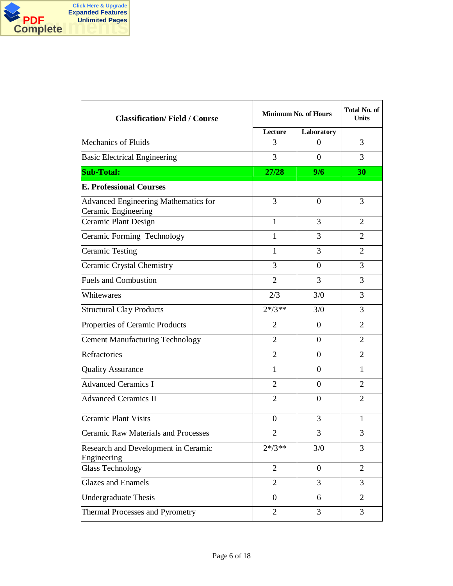

| <b>Classification/Field / Course</b>                               |                | Minimum No. of Hours | Total No. of<br><b>Units</b> |
|--------------------------------------------------------------------|----------------|----------------------|------------------------------|
|                                                                    | Lecture        | Laboratory           |                              |
| <b>Mechanics of Fluids</b>                                         | 3              | $\theta$             | 3                            |
| <b>Basic Electrical Engineering</b>                                | 3              | $\theta$             | 3                            |
| <b>Sub-Total:</b>                                                  | 27/28          | 9/6                  | 30                           |
| <b>E. Professional Courses</b>                                     |                |                      |                              |
| <b>Advanced Engineering Mathematics for</b><br>Ceramic Engineering | 3              | $\overline{0}$       | 3                            |
| Ceramic Plant Design                                               | $\mathbf{1}$   | 3                    | 2                            |
| Ceramic Forming Technology                                         | $\mathbf{1}$   | 3                    | $\overline{2}$               |
| <b>Ceramic Testing</b>                                             | 1              | 3                    | 2                            |
| Ceramic Crystal Chemistry                                          | 3              | $\overline{0}$       | 3                            |
| <b>Fuels and Combustion</b>                                        | $\overline{2}$ | 3                    | 3                            |
| Whitewares                                                         | 2/3            | 3/0                  | 3                            |
| <b>Structural Clay Products</b>                                    | $2*/3**$       | 3/0                  | 3                            |
| Properties of Ceramic Products                                     | $\overline{2}$ | $\overline{0}$       | $\overline{2}$               |
| <b>Cement Manufacturing Technology</b>                             | $\overline{2}$ | $\theta$             | $\overline{2}$               |
| Refractories                                                       | $\overline{2}$ | $\overline{0}$       | $\overline{2}$               |
| <b>Quality Assurance</b>                                           | $\mathbf{1}$   | $\boldsymbol{0}$     | $\mathbf{1}$                 |
| <b>Advanced Ceramics I</b>                                         | $\overline{2}$ | $\theta$             | $\overline{2}$               |
| <b>Advanced Ceramics II</b>                                        | $\overline{2}$ | $\boldsymbol{0}$     | $\overline{2}$               |
| <b>Ceramic Plant Visits</b>                                        | $\mathbf{0}$   | 3                    | $\mathbf{1}$                 |
| Ceramic Raw Materials and Processes                                | $\overline{c}$ | 3                    | 3                            |
| Research and Development in Ceramic<br>Engineering                 | $2*/3**$       | 3/0                  | 3                            |
| <b>Glass Technology</b>                                            | $\overline{2}$ | $\overline{0}$       | $\overline{2}$               |
| <b>Glazes and Enamels</b>                                          | $\overline{2}$ | 3                    | 3                            |
| <b>Undergraduate Thesis</b>                                        | $\overline{0}$ | 6                    | 2                            |
| Thermal Processes and Pyrometry                                    | $\overline{2}$ | 3                    | 3                            |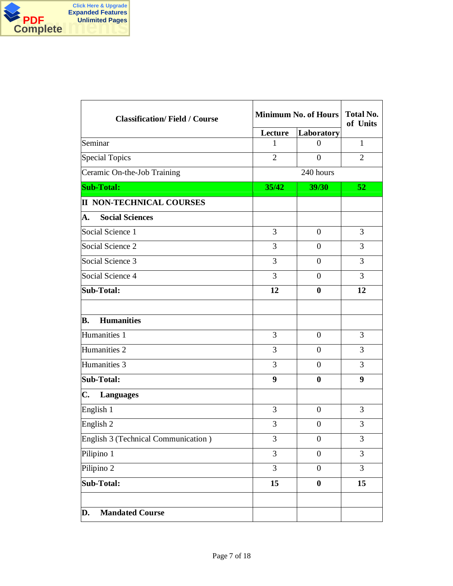

| <b>Classification/Field / Course</b> |                | <b>Minimum No. of Hours</b> | <b>Total No.</b><br>of Units |  |
|--------------------------------------|----------------|-----------------------------|------------------------------|--|
|                                      | Lecture        | Laboratory                  |                              |  |
| Seminar                              | 1              | $\boldsymbol{0}$            | $\mathbf{1}$                 |  |
| <b>Special Topics</b>                | $\overline{2}$ | $\overline{0}$              | $\overline{2}$               |  |
| Ceramic On-the-Job Training          |                | 240 hours                   |                              |  |
| <b>Sub-Total:</b>                    | 35/42          | 39/30                       | 52                           |  |
| <b>II NON-TECHNICAL COURSES</b>      |                |                             |                              |  |
| <b>Social Sciences</b><br>А.         |                |                             |                              |  |
| Social Science 1                     | 3              | $\overline{0}$              | 3                            |  |
| Social Science 2                     | 3              | $\Omega$                    | 3                            |  |
| Social Science 3                     | 3              | $\theta$                    | 3                            |  |
| Social Science 4                     | 3              | $\overline{0}$              | 3                            |  |
| <b>Sub-Total:</b>                    | 12             | $\bf{0}$                    | 12                           |  |
| <b>Humanities</b><br>В.              |                |                             |                              |  |
| Humanities 1                         | 3              | $\theta$                    | 3                            |  |
| Humanities <sub>2</sub>              | 3              | $\theta$                    | 3                            |  |
| Humanities 3                         | 3              | $\theta$                    | 3                            |  |
| <b>Sub-Total:</b>                    | 9              | $\bf{0}$                    | 9                            |  |
| C.<br><b>Languages</b>               |                |                             |                              |  |
| English 1                            | 3              | $\overline{0}$              | 3                            |  |
| English 2                            | 3              | $\boldsymbol{0}$            | 3                            |  |
| English 3 (Technical Communication)  | 3              | $\boldsymbol{0}$            | 3                            |  |
| Pilipino 1                           | 3              | $\boldsymbol{0}$            | 3                            |  |
| Pilipino 2                           | $\overline{3}$ | $\overline{0}$              | $\overline{3}$               |  |
| Sub-Total:                           | 15             | $\boldsymbol{0}$            | 15                           |  |
|                                      |                |                             |                              |  |
| <b>Mandated Course</b><br>D.         |                |                             |                              |  |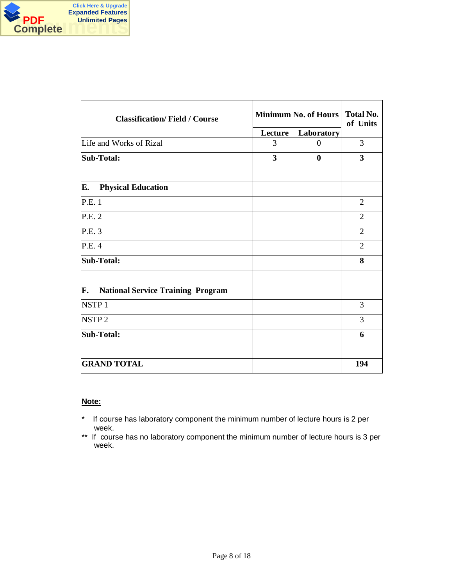

| <b>Classification/Field / Course</b>           |         | Minimum No. of Hours |                         |  |  |
|------------------------------------------------|---------|----------------------|-------------------------|--|--|
|                                                | Lecture | Laboratory           |                         |  |  |
| Life and Works of Rizal                        | 3       | $\theta$             | 3                       |  |  |
| <b>Sub-Total:</b>                              | 3       | $\bf{0}$             | $\overline{\mathbf{3}}$ |  |  |
|                                                |         |                      |                         |  |  |
| E.<br><b>Physical Education</b>                |         |                      |                         |  |  |
| P.E. 1                                         |         |                      | $\overline{2}$          |  |  |
| P.E. 2                                         |         |                      | $\overline{2}$          |  |  |
| P.E. 3                                         |         |                      | $\overline{2}$          |  |  |
| P.E. 4                                         |         |                      | $\overline{2}$          |  |  |
| <b>Sub-Total:</b>                              |         |                      | 8                       |  |  |
| F.<br><b>National Service Training Program</b> |         |                      |                         |  |  |
| NSTP <sub>1</sub>                              |         |                      | 3                       |  |  |
| NSTP <sub>2</sub>                              |         |                      | 3                       |  |  |
| <b>Sub-Total:</b>                              |         |                      | 6                       |  |  |
|                                                |         |                      |                         |  |  |
| <b>GRAND TOTAL</b>                             |         |                      | 194                     |  |  |

### **Note:**

- \* If course has laboratory component the minimum number of lecture hours is 2 per week.
- \*\* If course has no laboratory component the minimum number of lecture hours is 3 per week.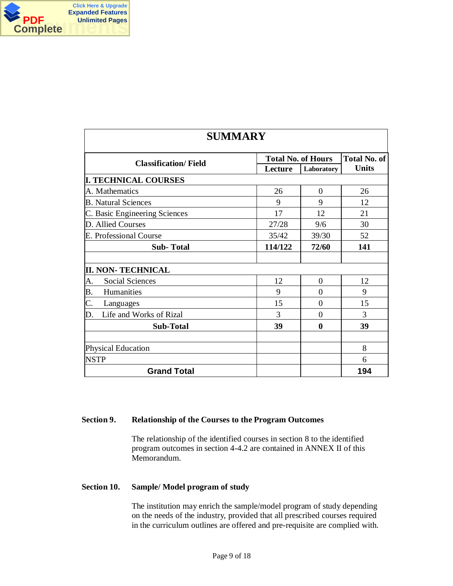

| <b>SUMMARY</b>                |         |                           |              |  |  |
|-------------------------------|---------|---------------------------|--------------|--|--|
| <b>Classification/Field</b>   | Lecture | <b>Total No. of Hours</b> |              |  |  |
| <b>I. TECHNICAL COURSES</b>   |         | Laboratory                | <b>Units</b> |  |  |
| A. Mathematics                | 26      | $\theta$                  | 26           |  |  |
| <b>B.</b> Natural Sciences    | 9       | 9                         | 12           |  |  |
| C. Basic Engineering Sciences | 17      | 12                        | 21           |  |  |
| D. Allied Courses             | 27/28   | 9/6                       | 30           |  |  |
| E. Professional Course        | 35/42   | 39/30                     | 52           |  |  |
| <b>Sub-Total</b>              | 114/122 | 72/60                     | 141          |  |  |
|                               |         |                           |              |  |  |
| <b>II. NON- TECHNICAL</b>     |         |                           |              |  |  |
| Social Sciences<br>A.         | 12      | $\overline{0}$            | 12           |  |  |
| Humanities<br>Β.              | 9       | 0                         | 9            |  |  |
| C.<br>Languages               | 15      | $\Omega$                  | 15           |  |  |
| Life and Works of Rizal<br>D. | 3       | $\overline{0}$            | 3            |  |  |
| <b>Sub-Total</b>              | 39      | 0                         | 39           |  |  |
|                               |         |                           |              |  |  |
| <b>Physical Education</b>     |         |                           | 8            |  |  |
| <b>NSTP</b>                   |         |                           | 6            |  |  |
| <b>Grand Total</b>            |         |                           | 194          |  |  |

### **Section 9. Relationship of the Courses to the Program Outcomes**

The relationship of the identified courses in section 8 to the identified program outcomes in section 4-4.2 are contained in ANNEX II of this Memorandum.

#### **Section 10. Sample/ Model program of study**

The institution may enrich the sample/model program of study depending on the needs of the industry, provided that all prescribed courses required in the curriculum outlines are offered and pre-requisite are complied with.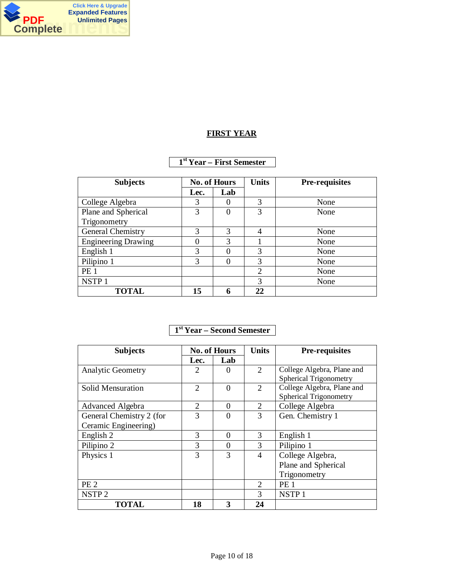

### **FIRST YEAR**

### **1 st Year – First Semester**

| <b>Subjects</b>            | <b>No. of Hours</b> |     |                |      | <b>Units</b> | <b>Pre-requisites</b> |
|----------------------------|---------------------|-----|----------------|------|--------------|-----------------------|
|                            | Lec.                | Lab |                |      |              |                       |
| College Algebra            | 3                   |     | 3              | None |              |                       |
| Plane and Spherical        | 3                   | 0   | 3              | None |              |                       |
| Trigonometry               |                     |     |                |      |              |                       |
| General Chemistry          | 3                   | 3   | 4              | None |              |                       |
| <b>Engineering Drawing</b> |                     | 3   |                | None |              |                       |
| English 1                  | 3                   |     | 3              | None |              |                       |
| Pilipino 1                 | 3                   |     | 3              | None |              |                       |
| <b>PE 1</b>                |                     |     | $\overline{2}$ | None |              |                       |
| NSTP <sub>1</sub>          |                     |     | 3              | None |              |                       |
| <b>TOTAL</b>               | 15                  | 6   | 22             |      |              |                       |

### **1 st Year – Second Semester**

| <b>Subjects</b>          | <b>No. of Hours</b> |              | <b>Units</b>                | <b>Pre-requisites</b>         |
|--------------------------|---------------------|--------------|-----------------------------|-------------------------------|
|                          | Lec.                | Lab          |                             |                               |
| <b>Analytic Geometry</b> | 2                   | $\mathbf{0}$ | $\overline{2}$              | College Algebra, Plane and    |
|                          |                     |              |                             | <b>Spherical Trigonometry</b> |
| Solid Mensuration        | 2                   | $\Omega$     | $\mathcal{D}_{\mathcal{L}}$ | College Algebra, Plane and    |
|                          |                     |              |                             | <b>Spherical Trigonometry</b> |
| Advanced Algebra         | 2                   | 0            | 2                           | College Algebra               |
| General Chemistry 2 (for | $\mathcal{R}$       | 0            | 3                           | Gen. Chemistry 1              |
| Ceramic Engineering)     |                     |              |                             |                               |
| English 2                | 3                   | 0            | 3                           | English 1                     |
| Pilipino 2               | 3                   | 0            | 3                           | Pilipino 1                    |
| Physics 1                | 3                   | 3            | 4                           | College Algebra,              |
|                          |                     |              |                             | Plane and Spherical           |
|                          |                     |              |                             | Trigonometry                  |
| PE <sub>2</sub>          |                     |              | $\mathcal{D}_{\cdot}$       | PE <sub>1</sub>               |
| NSTP <sub>2</sub>        |                     |              | 3                           | NSTP <sub>1</sub>             |
| <b>TOTAL</b>             | 18                  | 3            | 24                          |                               |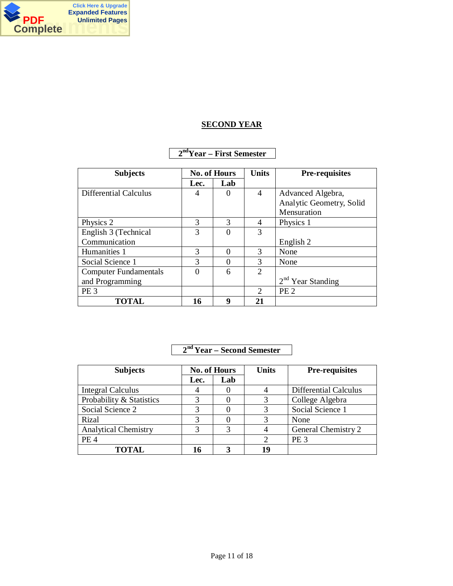

# **SECOND YEAR**

### **2 ndYear – First Semester**

| <b>Subjects</b>              | <b>No. of Hours</b> |          | <b>Units</b>                | <b>Pre-requisites</b>    |
|------------------------------|---------------------|----------|-----------------------------|--------------------------|
|                              | Lec.                | Lab      |                             |                          |
| Differential Calculus        | 4                   | $\Omega$ | 4                           | Advanced Algebra,        |
|                              |                     |          |                             | Analytic Geometry, Solid |
|                              |                     |          |                             | Mensuration              |
| Physics 2                    | 3                   | 3        | 4                           | Physics 1                |
| English 3 (Technical         | 3                   | $\Omega$ | 3                           |                          |
| Communication                |                     |          |                             | English 2                |
| Humanities 1                 | 3                   | 0        | 3                           | None                     |
| Social Science 1             | 3                   | 0        | $\mathcal{R}$               | None                     |
| <b>Computer Fundamentals</b> | $\mathbf{0}$        | 6        | $\overline{2}$              |                          |
| and Programming              |                     |          |                             | $2nd$ Year Standing      |
| PE <sub>3</sub>              |                     |          | $\mathcal{D}_{\mathcal{L}}$ | PE <sub>2</sub>          |
| <b>TOTAL</b>                 | 16                  | 9        | 21                          |                          |

## **2 nd Year – Second Semester**

| <b>Subjects</b>             | <b>No. of Hours</b> |     | <b>Units</b> | Pre-requisites               |
|-----------------------------|---------------------|-----|--------------|------------------------------|
|                             | Lec.                | Lab |              |                              |
| <b>Integral Calculus</b>    |                     |     |              | <b>Differential Calculus</b> |
| Probability & Statistics    | 3                   |     | 3            | College Algebra              |
| Social Science 2            |                     |     |              | Social Science 1             |
| Rizal                       |                     |     |              | None                         |
| <b>Analytical Chemistry</b> |                     | 3   |              | General Chemistry 2          |
| PE <sub>4</sub>             |                     |     |              | PE <sub>3</sub>              |
| <b>TOTAL</b>                | 16                  |     | 1 Q          |                              |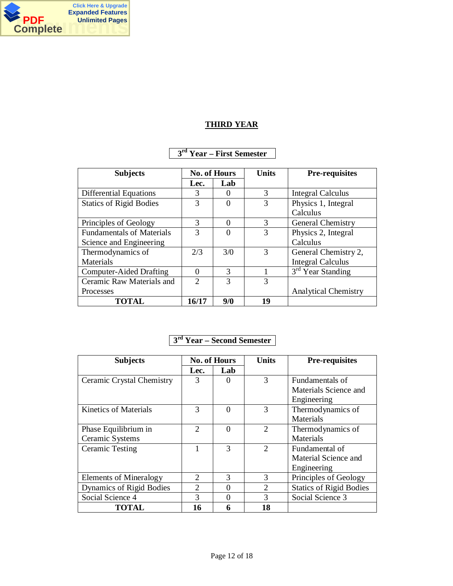

# **THIRD YEAR**

### **3 rd Year – First Semester**

| <b>Subjects</b>                  | <b>No. of Hours</b> |          | <b>Units</b>  | <b>Pre-requisites</b>         |
|----------------------------------|---------------------|----------|---------------|-------------------------------|
|                                  | Lec.                | Lab      |               |                               |
| <b>Differential Equations</b>    | 3                   |          | 3             | <b>Integral Calculus</b>      |
| <b>Statics of Rigid Bodies</b>   | $\mathcal{R}$       | 0        | $\mathcal{R}$ | Physics 1, Integral           |
|                                  |                     |          |               | Calculus                      |
| Principles of Geology            | 3                   | $\Omega$ | 3             | General Chemistry             |
| <b>Fundamentals of Materials</b> | $\mathcal{R}$       | 0        | 3             | Physics 2, Integral           |
| Science and Engineering          |                     |          |               | Calculus                      |
| Thermodynamics of                | 2/3                 | 3/0      | 3             | General Chemistry 2,          |
| Materials                        |                     |          |               | <b>Integral Calculus</b>      |
| <b>Computer-Aided Drafting</b>   | $\Omega$            | 3        |               | 3 <sup>rd</sup> Year Standing |
| Ceramic Raw Materials and        | $\mathcal{D}$       | 3        | 3             |                               |
| Processes                        |                     |          |               | <b>Analytical Chemistry</b>   |
| <b>TOTAL</b>                     | 16/17               | 9/0      | 19            |                               |

# **3 rd Year – Second Semester**

| <b>Subjects</b>               | <b>No. of Hours</b>         |                  | <b>Units</b>                | <b>Pre-requisites</b>          |
|-------------------------------|-----------------------------|------------------|-----------------------------|--------------------------------|
|                               | Lec.                        | Lab              |                             |                                |
| Ceramic Crystal Chemistry     | 3                           |                  | 3                           | Fundamentals of                |
|                               |                             |                  |                             | Materials Science and          |
|                               |                             |                  |                             | Engineering                    |
| <b>Kinetics of Materials</b>  | $\mathcal{R}$               | $\left( \right)$ | 3                           | Thermodynamics of              |
|                               |                             |                  |                             | Materials                      |
| Phase Equilibrium in          | $\mathcal{D}_{\mathcal{L}}$ | 0                | $\mathcal{D}_{\mathcal{L}}$ | Thermodynamics of              |
| Ceramic Systems               |                             |                  |                             | Materials                      |
| <b>Ceramic Testing</b>        |                             | 3                | $\mathcal{D}_{\mathcal{L}}$ | Fundamental of                 |
|                               |                             |                  |                             | Material Science and           |
|                               |                             |                  |                             | Engineering                    |
| <b>Elements of Mineralogy</b> | $\mathcal{D}_{\mathcal{L}}$ | 3                | $\mathcal{R}$               | Principles of Geology          |
| Dynamics of Rigid Bodies      | $\mathcal{D}_{\mathcal{A}}$ |                  | $\mathcal{D}_{\mathcal{L}}$ | <b>Statics of Rigid Bodies</b> |
| Social Science 4              | 3                           |                  | $\mathcal{F}$               | Social Science 3               |
| <b>TOTAL</b>                  | 16                          | 6                | 18                          |                                |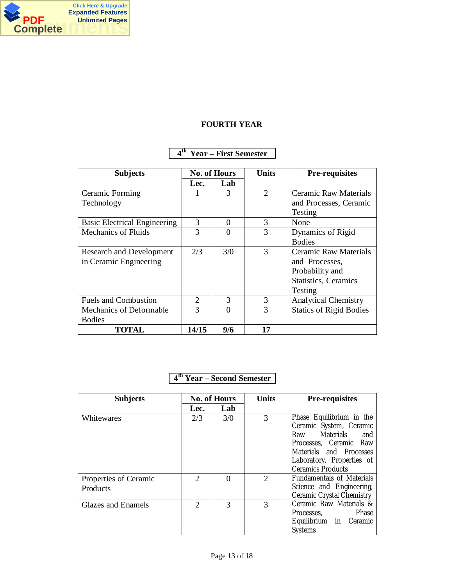

### **FOURTH YEAR**

## **4 th Year – First Semester**

| <b>Subjects</b>                     | <b>No. of Hours</b> |     | <b>Units</b>  | <b>Pre-requisites</b>          |
|-------------------------------------|---------------------|-----|---------------|--------------------------------|
|                                     | Lec.                | Lab |               |                                |
| Ceramic Forming                     |                     | 3   | 2             | <b>Ceramic Raw Materials</b>   |
| Technology                          |                     |     |               | and Processes, Ceramic         |
|                                     |                     |     |               | Testing                        |
| <b>Basic Electrical Engineering</b> | 3                   | 0   | 3             | None                           |
| <b>Mechanics of Fluids</b>          | 3                   | 0   | $\mathcal{R}$ | Dynamics of Rigid              |
|                                     |                     |     |               | <b>Bodies</b>                  |
| <b>Research and Development</b>     | 2/3                 | 3/0 | 3             | <b>Ceramic Raw Materials</b>   |
| in Ceramic Engineering              |                     |     |               | and Processes,                 |
|                                     |                     |     |               | Probability and                |
|                                     |                     |     |               | <b>Statistics</b> , Ceramics   |
|                                     |                     |     |               | Testing                        |
| <b>Fuels and Combustion</b>         | 2                   | 3   | 3             | <b>Analytical Chemistry</b>    |
| Mechanics of Deformable             | 3                   | 0   | $\mathcal{R}$ | <b>Statics of Rigid Bodies</b> |
| <b>Bodies</b>                       |                     |     |               |                                |
| <b>TOTAL</b>                        | 14/15               | 9/6 | 17            |                                |

### **4 th Year – Second Semester**

| <b>Subjects</b>                   | <b>No. of Hours</b>         |          | <b>Units</b>   | <b>Pre-requisites</b>                                                                                                                                                                  |
|-----------------------------------|-----------------------------|----------|----------------|----------------------------------------------------------------------------------------------------------------------------------------------------------------------------------------|
|                                   | Lec.                        | Lab      |                |                                                                                                                                                                                        |
| Whitewares                        | 2/3                         | 3/0      | 3              | Phase Equilibrium in the<br>Ceramic System, Ceramic<br>Raw Materials and<br>Processes, Ceramic Raw<br>Materials and Processes<br>Laboratory, Properties of<br><b>Ceramics Products</b> |
| Properties of Ceramic<br>Products | 2                           | $\Omega$ | $\overline{2}$ | <b>Fundamentals of Materials</b><br>Science and Engineering,<br>Ceramic Crystal Chemistry                                                                                              |
| <b>Glazes and Enamels</b>         | $\mathcal{D}_{\mathcal{L}}$ | 3        | 3              | Ceramic Raw Materials &<br>Processes, Phase<br>Equilibrium in Ceramic<br>Systems                                                                                                       |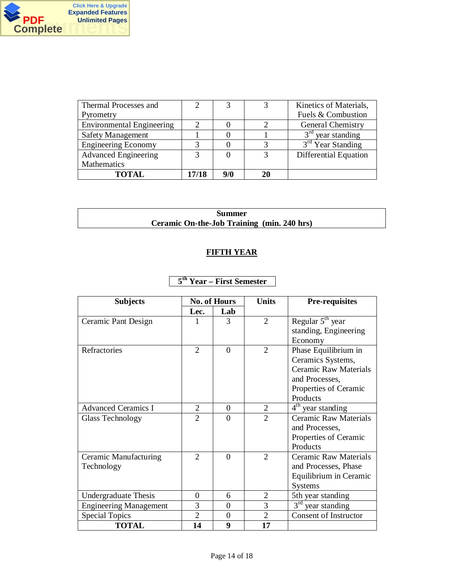

| Thermal Processes and            |       |     | Kinetics of Materials,       |
|----------------------------------|-------|-----|------------------------------|
| Pyrometry                        |       |     | Fuels & Combustion           |
| <b>Environmental Engineering</b> |       |     | <b>General Chemistry</b>     |
| <b>Safety Management</b>         |       |     | $3rd$ year standing          |
| <b>Engineering Economy</b>       |       |     | $3rd$ Year Standing          |
| <b>Advanced Engineering</b>      |       |     | <b>Differential Equation</b> |
| Mathematics                      |       |     |                              |
| <b>TOTAL</b>                     | 17/18 | 9/0 |                              |

### **Summer Ceramic On-the-Job Training (min. 240 hrs)**

# **FIFTH YEAR**

# **5 th Year – First Semester**

| <b>Subjects</b>               | <b>No. of Hours</b>         |                | <b>Units</b>                | <b>Pre-requisites</b>        |
|-------------------------------|-----------------------------|----------------|-----------------------------|------------------------------|
|                               | Lec.                        | Lab            |                             |                              |
| Ceramic Pant Design           |                             | 3              | 2                           | Regular $5th$ year           |
|                               |                             |                |                             | standing, Engineering        |
|                               |                             |                |                             | Economy                      |
| Refractories                  | $\mathcal{D}_{\mathcal{L}}$ | $\Omega$       | $\mathcal{D}_{\mathcal{L}}$ | Phase Equilibrium in         |
|                               |                             |                |                             | Ceramics Systems,            |
|                               |                             |                |                             | <b>Ceramic Raw Materials</b> |
|                               |                             |                |                             | and Processes,               |
|                               |                             |                |                             | Properties of Ceramic        |
|                               |                             |                |                             | Products                     |
| <b>Advanced Ceramics I</b>    | $\overline{2}$              | $\overline{0}$ | $\overline{2}$              | $4th$ year standing          |
| Glass Technology              | $\mathfrak{D}$              | $\Omega$       | $\overline{2}$              | <b>Ceramic Raw Materials</b> |
|                               |                             |                |                             | and Processes,               |
|                               |                             |                |                             | Properties of Ceramic        |
|                               |                             |                |                             | Products                     |
| Ceramic Manufacturing         | 2                           | $\Omega$       | 2                           | <b>Ceramic Raw Materials</b> |
| Technology                    |                             |                |                             | and Processes, Phase         |
|                               |                             |                |                             | Equilibrium in Ceramic       |
|                               |                             |                |                             | <b>Systems</b>               |
| <b>Undergraduate Thesis</b>   | 0                           | 6              | 2                           | 5th year standing            |
| <b>Engineering Management</b> | 3                           | $\Omega$       | 3                           | $3rd$ year standing          |
| <b>Special Topics</b>         | $\overline{2}$              | $\Omega$       | $\overline{2}$              | <b>Consent of Instructor</b> |
| <b>TOTAL</b>                  | 14                          | 9              | 17                          |                              |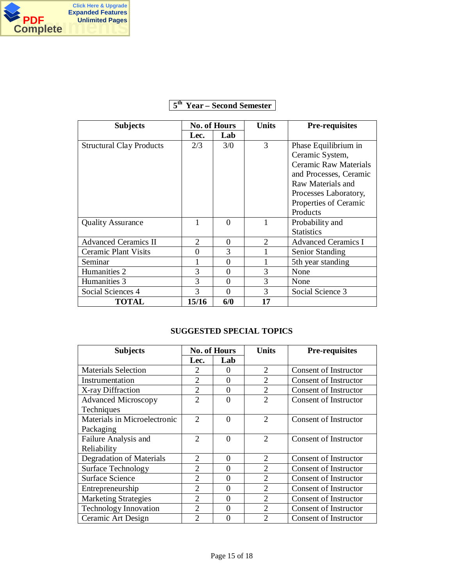

| <b>Subjects</b>                 | <b>No. of Hours</b>   |          | Units                       | <b>Pre-requisites</b>        |
|---------------------------------|-----------------------|----------|-----------------------------|------------------------------|
|                                 | Lec.                  | Lab      |                             |                              |
| <b>Structural Clay Products</b> | 2/3                   | 3/0      | 3                           | Phase Equilibrium in         |
|                                 |                       |          |                             | Ceramic System,              |
|                                 |                       |          |                             | <b>Ceramic Raw Materials</b> |
|                                 |                       |          |                             | and Processes, Ceramic       |
|                                 |                       |          |                             | Raw Materials and            |
|                                 |                       |          |                             | Processes Laboratory,        |
|                                 |                       |          |                             | Properties of Ceramic        |
|                                 |                       |          |                             | Products                     |
| <b>Quality Assurance</b>        |                       | 0        |                             | Probability and              |
|                                 |                       |          |                             | <b>Statistics</b>            |
| <b>Advanced Ceramics II</b>     | $\mathcal{D}_{\cdot}$ | 0        | $\mathcal{D}_{\mathcal{L}}$ | <b>Advanced Ceramics I</b>   |
| <b>Ceramic Plant Visits</b>     | 0                     | 3        |                             | Senior Standing              |
| Seminar                         |                       | 0        |                             | 5th year standing            |
| Humanities 2                    | 3                     | 0        | 3                           | None                         |
| Humanities 3                    | 3                     | 0        | 3                           | None                         |
| Social Sciences 4               | 3                     | $\Omega$ | 3                           | Social Science 3             |
| <b>TOTAL</b>                    | 15/16                 | 6/0      | 17                          |                              |

# **5 th Year – Second Semester**

# **SUGGESTED SPECIAL TOPICS**

| <b>Subjects</b>              | <b>No. of Hours</b>         |          | <b>Units</b>                | <b>Pre-requisites</b>        |
|------------------------------|-----------------------------|----------|-----------------------------|------------------------------|
|                              | Lec.                        | Lab      |                             |                              |
| <b>Materials Selection</b>   | $\mathcal{D}_{\mathcal{L}}$ | 0        | 2                           | Consent of Instructor        |
| Instrumentation              | 2                           | 0        | $\overline{2}$              | Consent of Instructor        |
| X-ray Diffraction            | $\overline{2}$              | 0        | $\overline{2}$              | Consent of Instructor        |
| <b>Advanced Microscopy</b>   | $\overline{2}$              | $\Omega$ | $\overline{2}$              | <b>Consent of Instructor</b> |
| Techniques                   |                             |          |                             |                              |
| Materials in Microelectronic | $\mathfrak{D}$              | $\Omega$ | $\mathcal{D}_{\mathcal{L}}$ | <b>Consent of Instructor</b> |
| Packaging                    |                             |          |                             |                              |
| Failure Analysis and         | $\mathfrak{D}$              | $\Omega$ | $\mathcal{D}_{\mathcal{L}}$ | Consent of Instructor        |
| Reliability                  |                             |          |                             |                              |
| Degradation of Materials     | $\mathfrak{D}$              | 0        | $\overline{2}$              | Consent of Instructor        |
| <b>Surface Technology</b>    | $\overline{2}$              | 0        | $\overline{2}$              | <b>Consent of Instructor</b> |
| <b>Surface Science</b>       | $\overline{2}$              | 0        | $\overline{2}$              | Consent of Instructor        |
| Entrepreneurship             | $\overline{2}$              | 0        | $\overline{2}$              | <b>Consent of Instructor</b> |
| <b>Marketing Strategies</b>  | $\overline{2}$              | 0        | 2                           | Consent of Instructor        |
| <b>Technology Innovation</b> | $\mathfrak{D}$              | 0        | $\mathcal{D}_{\mathcal{L}}$ | Consent of Instructor        |
| Ceramic Art Design           | $\mathfrak{D}$              | 0        | $\mathcal{D}$               | Consent of Instructor        |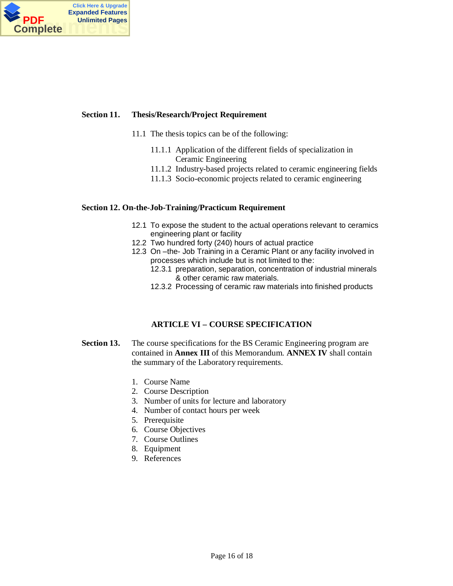

#### **Section 11. Thesis/Research/Project Requirement**

- 11.1 The thesis topics can be of the following:
	- 11.1.1 Application of the different fields of specialization in Ceramic Engineering
	- 11.1.2 Industry-based projects related to ceramic engineering fields
	- 11.1.3 Socio-economic projects related to ceramic engineering

#### **Section 12. On-the-Job-Training/Practicum Requirement**

- 12.1 To expose the student to the actual operations relevant to ceramics engineering plant or facility
- 12.2 Two hundred forty (240) hours of actual practice
- 12.3 On -the- Job Training in a Ceramic Plant or any facility involved in processes which include but is not limited to the:
	- 12.3.1 preparation, separation, concentration of industrial minerals & other ceramic raw materials.
	- 12.3.2 Processing of ceramic raw materials into finished products

### **ARTICLE VI – COURSE SPECIFICATION**

- **Section 13.** The course specifications for the BS Ceramic Engineering program are contained in **Annex III** of this Memorandum. **ANNEX IV** shall contain the summary of the Laboratory requirements.
	- 1. Course Name
	- 2. Course Description
	- 3. Number of units for lecture and laboratory
	- 4. Number of contact hours per week
	- 5. Prerequisite
	- 6. Course Objectives
	- 7. Course Outlines
	- 8. Equipment
	- 9. References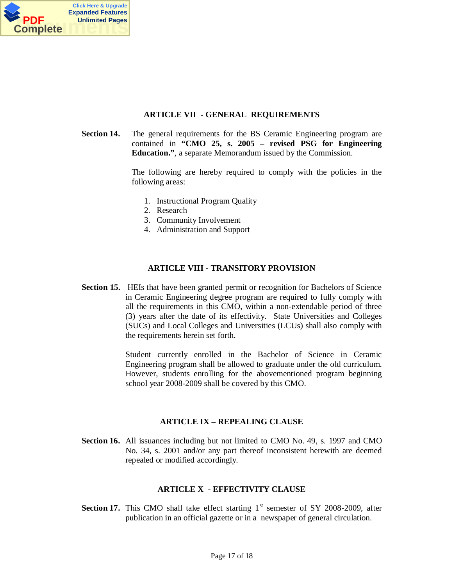

### **ARTICLE VII - GENERAL REQUIREMENTS**

**Section 14.** The general requirements for the BS Ceramic Engineering program are contained in **"CMO 25, s. 2005 – revised PSG for Engineering Education."**, a separate Memorandum issued by the Commission.

> The following are hereby required to comply with the policies in the following areas:

- 1. Instructional Program Quality
- 2. Research
- 3. Community Involvement
- 4. Administration and Support

### **ARTICLE VIII - TRANSITORY PROVISION**

**Section 15.** HEIs that have been granted permit or recognition for Bachelors of Science in Ceramic Engineering degree program are required to fully comply with all the requirements in this CMO, within a non-extendable period of three (3) years after the date of its effectivity. State Universities and Colleges (SUCs) and Local Colleges and Universities (LCUs) shall also comply with the requirements herein set forth.

> Student currently enrolled in the Bachelor of Science in Ceramic Engineering program shall be allowed to graduate under the old curriculum. However, students enrolling for the abovementioned program beginning school year 2008-2009 shall be covered by this CMO.

#### **ARTICLE IX – REPEALING CLAUSE**

**Section 16.** All issuances including but not limited to CMO No. 49, s. 1997 and CMO No. 34, s. 2001 and/or any part thereof inconsistent herewith are deemed repealed or modified accordingly.

#### **ARTICLE X - EFFECTIVITY CLAUSE**

**Section 17.** This CMO shall take effect starting  $1<sup>st</sup>$  semester of SY 2008-2009, after publication in an official gazette or in a newspaper of general circulation.